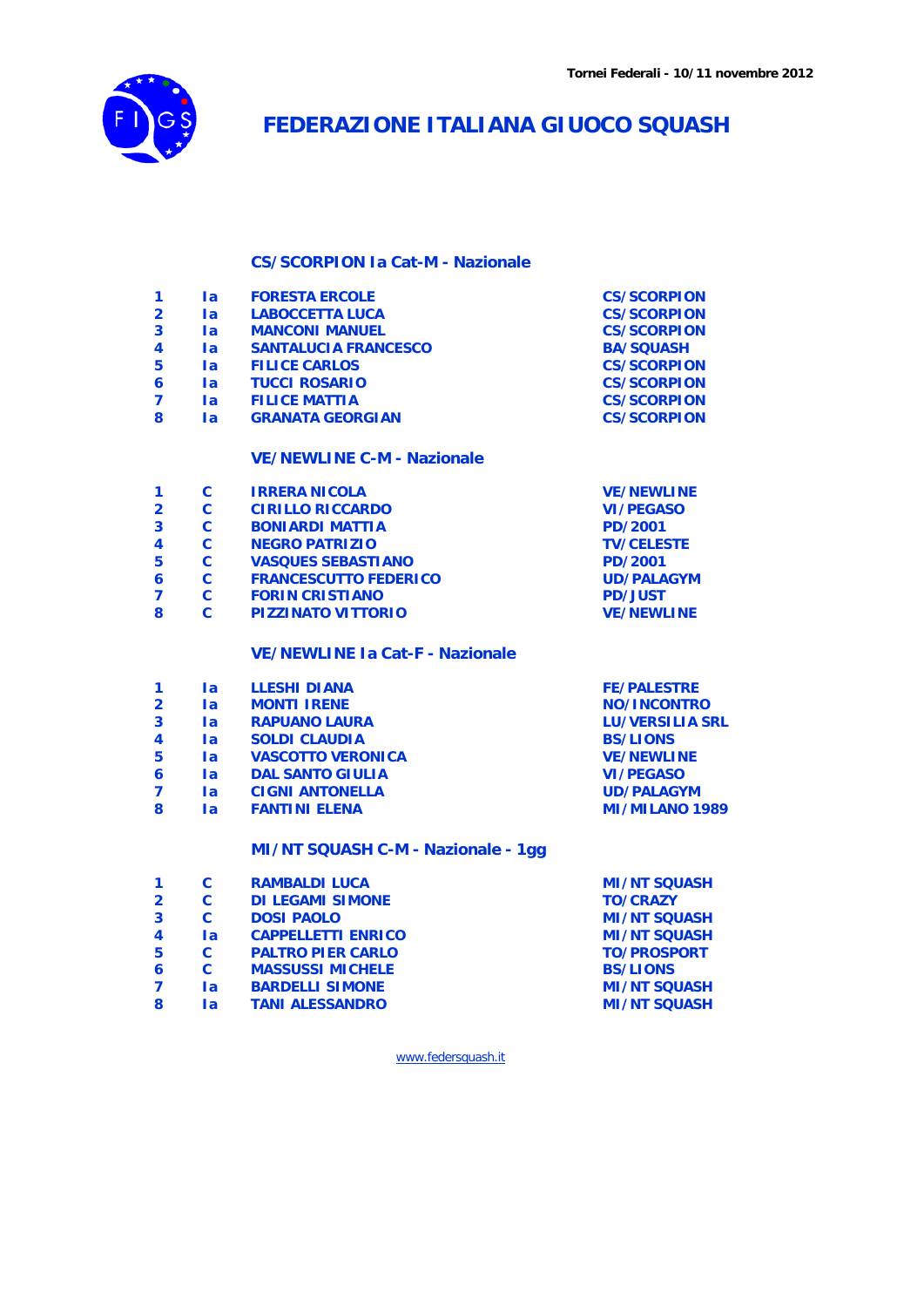

## **FEDERAZIONE ITALIANA GIUOCO SQUASH**

## **CS/SCORPION Ia Cat-M - Nazionale**

| 1                       | <b>la</b>      | <b>FORESTA ERCOLE</b>                  | <b>CS/SCORPION</b>     |
|-------------------------|----------------|----------------------------------------|------------------------|
| 2                       | $l$ a          | <b>LABOCCETTA LUCA</b>                 | <b>CS/SCORPION</b>     |
| 3                       | 1a             | <b>MANCONI MANUEL</b>                  | <b>CS/SCORPION</b>     |
| 4                       | <b>la</b>      | <b>SANTALUCIA FRANCESCO</b>            | <b>BA/SQUASH</b>       |
| 5                       | l a            | <b>FILICE CARLOS</b>                   | <b>CS/SCORPION</b>     |
| 6                       | <b>la</b>      | <b>TUCCI ROSARIO</b>                   | <b>CS/SCORPION</b>     |
| 7                       | <b>la</b>      | <b>FILICE MATTIA</b>                   | <b>CS/SCORPION</b>     |
| 8                       | 1a             | <b>GRANATA GEORGIAN</b>                | <b>CS/SCORPION</b>     |
|                         |                | <b>VE/NEWLINE C-M - Nazionale</b>      |                        |
| 1                       | C              | <b>IRRERA NICOLA</b>                   | <b>VE/NEWLINE</b>      |
| $\overline{\mathbf{2}}$ | $\mathbf c$    | <b>CIRILLO RICCARDO</b>                | <b>VI/PEGASO</b>       |
| 3                       | C              | <b>BONIARDI MATTIA</b>                 | PD/2001                |
| 4                       | $\overline{c}$ | <b>NEGRO PATRIZIO</b>                  | <b>TV/CELESTE</b>      |
| 5                       | $\mathbf c$    | <b>VASQUES SEBASTIANO</b>              | PD/2001                |
| 6                       | C              | <b>FRANCESCUTTO FEDERICO</b>           | <b>UD/PALAGYM</b>      |
| 7                       | $\overline{c}$ | <b>FORIN CRISTIANO</b>                 | <b>PD/JUST</b>         |
| 8                       | $\mathbf{C}$   | <b>PIZZINATO VITTORIO</b>              | <b>VE/NEWLINE</b>      |
|                         |                | <b>VE/NEWLINE Ia Cat-F - Nazionale</b> |                        |
| 1                       | l a            | <b>LLESHI DIANA</b>                    | <b>FE/PALESTRE</b>     |
| $\overline{\mathbf{2}}$ | Ia             | <b>MONTI IRENE</b>                     | NO/INCONTRO            |
| 3                       | <b>la</b>      | <b>RAPUANO LAURA</b>                   | <b>LU/VERSILIA SRL</b> |
| 4                       | $l$ a          | <b>SOLDI CLAUDIA</b>                   | <b>BS/LIONS</b>        |
| 5                       | $l$ a          | <b>VASCOTTO VERONICA</b>               | <b>VE/NEWLINE</b>      |
| 6                       | la.            | <b>DAL SANTO GIULIA</b>                | <b>VI/PEGASO</b>       |
| $\overline{7}$          | $l$ a          | <b>CIGNI ANTONELLA</b>                 | <b>UD/PALAGYM</b>      |
| 8                       | $l$ a          | <b>FANTINI ELENA</b>                   | <b>MI/MILANO 1989</b>  |
|                         |                | MI/NT SQUASH C-M - Nazionale - 1gg     |                        |
| 1                       | C              | <b>RAMBALDI LUCA</b>                   | <b>MI/NT SQUASH</b>    |
| $\overline{\mathbf{2}}$ | Ć              | <b>DI LEGAMI SIMONE</b>                | <b>TO/CRAZY</b>        |
| 3                       | C              | <b>DOSI PAOLO</b>                      | <b>MI/NT SQUASH</b>    |
| 4                       | <b>la</b>      | <b>CAPPELLETTI ENRICO</b>              | <b>MI/NT SQUASH</b>    |
| 5                       | $\mathbf{C}$   | <b>PALTRO PIER CARLO</b>               | <b>TO/PROSPORT</b>     |
| 6                       | C.             | <b>MASSUSSI MICHELE</b>                | <b>BS/LIONS</b>        |
| 7                       | Ta             | <b>BARDELLI SIMONE</b>                 | <b>MI/NT SQUASH</b>    |

**Ia TANI ALESSANDRO MI/NT SQUASH**

www.federsquash.it